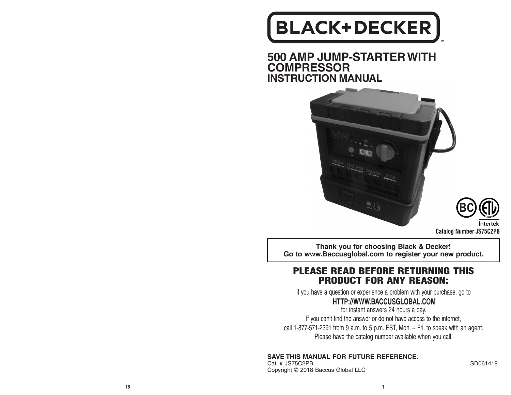# **BLACK+DECKER**

**500 AMP JUMP-STARTER WITH COMPRESSOR INSTRUCTION MANUAL**



**BC**Intertek

**Catalog Number JS75C2PB**

**Thank you for choosing Black & Decker! Go to www.Baccusglobal.com to register your new product.**

## PLEASE READ BEFORE RETURNING THIS PRODUCT FOR ANY REASON:

If you have a question or experience a problem with your purchase, go to

## **HTTP://WWW.BACCUSGLOBAL.COM**

for instant answers 24 hours a day. If you can't find the answer or do not have access to the internet, call 1-877-571-2391 from 9 a.m. to 5 p.m. EST, Mon. – Fri. to speak with an agent. Please have the catalog number available when you call.

### **SAVE THIS MANUAL FOR FUTURE REFERENCE.**

Cat. # JS75C2PB SD061418 Copyright © 2018 Baccus Global LLC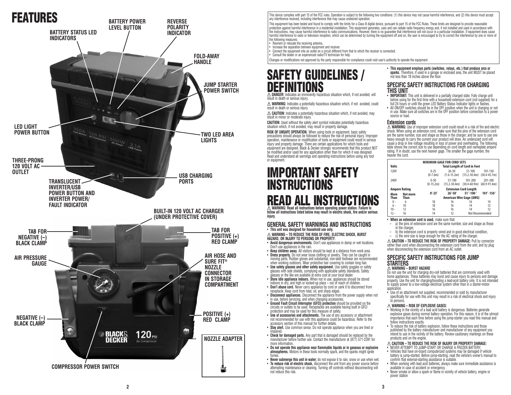## FEATURES



This device complies with part 15 of the FCC rules. Operation is subject to the following two conditions: (1) this device may not cause harmful interference, and (2) this device must accept any interference received, including interference that may cause undesired operation.

This equipment has been tested and found to comply with the limits for a Class B digital device, pursuant to part 15 of the FCC Rules. These limits are designed to provide reasonable protection against harmful interference in a residential installation. This equipment generates, uses and can radiate radio frequency energy and, if not installed and used in accordance with the instructions, may cause harmful interference to radio communications. However, there is no guarantee that interference will not occur in a particular installation. If equipment does cause harmful interference to radio or television reception, which can be determined by turning the equipment off and on, the user is encouraged to try to correct the interference by one or more of the following measures:

• Reorient or relocate the receiving antenna.

• Increase the separation between equipment and receiver. • Connect the equipment into an outlet on a circuit different from that to which the receiver is connected.

• Consult the dealer or an experienced radio/TV technician for help.

Changes or modifications not approved by the party responsible for compliance could void user's authority to operate the equipment.

## SAFETY GUIDELINES / DEFINITIONS **DANGER:** Indicates an imminently hazardous situation which, if not avoided, will

result in death or serious injury.

**WARNING:** Indicates a potentially hazardous situation which, if not avoided, could result in death or serious injury.

**CAUTION:** Indicates a potentially hazardous situation which, if not avoided, may result in minor or moderate injury.

**CAUTION:** Used without the safety alert symbol indicates potentially hazardous situation which, if not avoided, may result in property damage.

**RISK OF UNSAFE OPERATION.** When using tools or equipment, basic safety precautions should always be followed to reduce the risk of personal injury. Improper operation, maintenance or modification of tools or equipment could result in serious injury and property damage. There are certain applications for which tools and equipment are designed. Black & Decker strongly recommends that this product NOT be modified and/or used for any application other than for which it was designed. Read and understand all warnings and operating instructions before using any tool or equipment.

## IMPORTANT SAFETY **INSTRUCTIONS READ ALL INSTRU**

**WARNING: Read all instructions before operating power station. Failure to follow all instructions listed below may result in electric shock, fire and/or serious injury.**

#### **GENERAL SAFETY WARNINGS AND INSTRUCTIONS** • **This unit was designed for household use only.**

**WARNING – TO REDUCE THE RISK OF FIRE, ELECTRIC SHOCK, BURST HAZARD, OR INJURY TO PERSONS OR PROPERTY:**

- **Avoid dangerous environments.** Don't use appliances in damp or wet locations. Don't use appliances in the rain.
- **Keep children away.** All visitors should be kept at a distance from work area. • **Dress properly.** Do not wear loose clothing or jewelry. They can be caught in moving parts. Rubber gloves and substantial, non-skid footwear are recommended
- when working outdoors. Wear protective hair covering to contain long hair. • **Use safety glasses and other safety equipment.** Use safety goggles or safety
- glasses with side shields, complying with applicable safety standards. Safety glasses or the like are available at extra cost at your local dealer. • **Store idle appliance indoors.** When not in use, appliances should be stored
- indoors in dry, and high or locked-up place out of reach of children.
- **Don't abuse cord.** Never carry appliance by cord or yank it to disconnect from receptacle. Keep cord from heat, oil, and sharp edges. • **Disconnect appliances.** Disconnect the appliance from the power supply when not
- 
- in use, before servicing, and when changing accessories.<br>• Ground Fault Circuit Interrupter (GFCI) protection should be provided on the<br>circuits or outlets to be used. Receptacles are available having built in GFCI protection and may be used for this measure of safety.
- **Use of accessories and attachments.** The use of any accessory or attachment not recommended for use with this appliance could be hazardous. Refer to the accessory section of this manual for further details.
- **Stay alert.** Use common sense. Do not operate appliance when you are tired or impaired.
- **Check for damaged parts.** Any part that is damaged should be replaced by the manufacturer before further use. Contact the manufacturer at (877) 571-2391 for more information.
- **Do not operate this appliance near flammable liquids or in gaseous or explosive atmospheres.** Motors in these tools normally spark, and the sparks might ignite fumes.
- Never submerge this unit in water; do not expose it to rain, snow or use when wet.<br>• To reduce risk of electric shock, disconnect the unit from any power source before<br>• attempting maintenance or cleaning. Turning off co not reduce this risk.

• **This equipment employs parts (switches, relays, etc.) that produce arcs or sparks.** Therefore, if used in a garage or enclosed area, the unit MUST be placed not less than 18 inches above the floor.

#### **SPECIFIC SAFETY INSTRUCTIONS FOR CHARGING THIS UNIT**

- **IMPORTANT:** This unit is delivered in a partially charged state. Fully charge unit before using for the first time with a household extension cord (not supplied) for a
- tull 24 hours or until the green LED Battery Status Indicator lights or flashes.<br>• All ON/OFF switches should be in the OFF position when the unit is charging or not<br>• in use. Make sure all switches are in the OFF position source or load.

#### **Extension cords**

**WARNING:** Use of improper extension cord could result in a risk of fire and electric shock. When using an extension cord, make sure that the pins of the extension cord are the same number, size and shape as those in the charger; and be sure to use one heavy enough to carry the current your product will draw. An undersized cord will cause a drop in line voltage resulting in loss of power and overheating. The following table shows the correct size to use depending on cord length and nameplate ampere rating. If in doubt, use the next heavier gage. The smaller the gage number, the heavier the cord.

| <b>Volts</b>         |          | MINIMUM GAGE FOR CORD SETS<br><b>Total Length of Cord in Feet</b> |                                |                                |                             |
|----------------------|----------|-------------------------------------------------------------------|--------------------------------|--------------------------------|-----------------------------|
| 120V                 |          | $0 - 25$<br>$(0-7.6m)$                                            | $26 - 50$<br>$(7.6 - 15.2m)$   | $51 - 100$<br>$(15.2 - 30.4m)$ | 101-150<br>$(30.4 - 45.7)$  |
| 240V                 |          | $0 - 50$<br>$(0-15.2m)$                                           | $51 - 100$<br>$(15.2 - 30.4m)$ | 101-200<br>$(30.4 - 60.9m)$    | 201-300<br>$(60.9 - 91.4m)$ |
| <b>Ampere Rating</b> |          | <b>Extension Cord Lenath</b>                                      |                                |                                |                             |
| More                 | Not more | $0' - 25'$                                                        | $26' - 50'$                    | 51'-100'                       | $101' - 150'$               |
| Than                 | Than     | American Wire Gage (AWG)                                          |                                |                                |                             |
| $0 -$                | 6        | 18                                                                | 16                             | 16                             | 14                          |
| $6 -$                | 10       | 18                                                                | 16                             | 14                             | 12                          |
| 10 -                 | 12       | 16                                                                | 16                             | 14                             | 12                          |
| 12 -                 | 16       | 14                                                                | 12                             | Not Recommended                |                             |

#### • **When an extension cord is used,** make sure that:

- a) the pins of extension cord are the same number, size and shape as those in the charger,
- b) the extension cord is properly wired and in good electrical condition, – c) the wire size is large enough for the AC rating of the charger.
- **CAUTION TO REDUCE THE RISK OF PROPERTY DAMAGE:** Pull by connector

rather than cord when disconnecting the extension cord from the unit; and by plug when disconnecting the extension cord from an AC outlet.

#### **SPECIFIC SAFETY INSTRUCTIONS FOR JUMP STARTERS**

#### **WARNING – BURST HAZARD**

Do not use the unit for charging dry-cell batteries that are commonly used with home appliances. These batteries may burst and cause injury to persons and damage property. Use the unit for charging/boosting a lead-acid battery only. It is not intended to supply power to a low-voltage electrical system other than in a starter-motor application.

• Use of an attachment not supplied, recommended or sold by manufacturer specifically for use with this unit may result in a risk of electrical shock and injury to persons.

#### **WARNING – RISK OF EXPLOSIVE GASES:**

- Working in the vicinity of a lead acid battery is dangerous. Batteries generate explosive gases during normal battery operation. For this reason, it is of the utmost importance that each time before using the jump-starter you read this manual and follow instructions exactly.
- To reduce the risk of battery explosion, follow these instructions and those published by the battery manufacturer and manufacturer of any equipment you intend to use in the vicinity of the battery. Review cautionary markings on these products and on the engine.

#### **CAUTION – TO REDUCE THE RISK OF INJURY OR PROPERTY DAMAGE:**

- NEVER ATTEMPT TO JUMP-START OR CHARGE A FROZEN BATTERY.
- Vehicles that have on-board computerized systems may be damaged if vehicle battery is jump-started. Before jump-starting, read the vehicle's owner's manual to confirm that external-starting assistance is suitable.
- When working with lead acid batteries, always make sure immediate assistance is available in case of accident or emergency.
- Never smoke or allow a spark or flame in vicinity of vehicle battery, engine or power station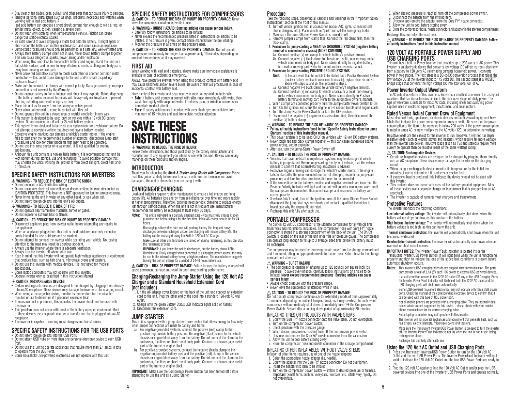- Stay clear of fan blades, belts, pulleys, and other parts that can cause injury to persons.
- Remove personal metal items such as rings, bracelets, necklaces and watches when working with a lead acid battery. A

lead acid battery can produce a short circuit current high enough to weld a ring, or similar metal object, to skin, causing a severe burn. • Do not wear vinyl clothing when jump-starting a vehicle. Friction can cause

- dangerous static-electrical sparks.
- Be extra careful to avoid dropping a metal tool onto the battery. It might spark or short-circuit the battery or another electrical part and could cause an explosion.
- Jump-start procedures should only be performed in a safe, dry, well-ventilated area. • Always store battery clamps when not in use. Never touch battery clamps together. This can cause dangerous sparks, power arcing and/or explosion.
- When using this unit close to the vehicle's battery and engine, stand the unit on a flat, stable surface, and be sure to keep all clamps, cords, clothing and body parts away from moving vehicle parts.
- Never allow red and black clamps to touch each other or another common metal conductor — this could cause damage to the unit and/or create a sparking/ explosion hazard.
- Make sure to connect the clamps with correct polarity. Damage caused by improper connection is not covered by the Warranty.
- Do not expose battery to fire or intense heat since it may explode. Before disposing of the battery, protect exposed terminals with heavy-duty electrical tape to prevent shorting (shorting can result in injury or fire).
- Place this unit as far away from the battery as cables permit.
- Never allow battery acid to come in contact with this unit.
- Do not operate this unit in a closed area or restrict ventilation in any way. • This system is designed to be used only on vehicles with a 12 volt DC battery system. Do not connect to a 6 volt or 24 volt battery system.
- This system is not designed to be used as a replacement for a vehicular battery. Do not attempt to operate a vehicle that does not have a battery installed.
- Excessive engine cranking can damage a vehicle's starter motor. If the engine fails to start after the recommended number of attempts, discontinue jump-start procedures and look for other problems that may need to be corrected.
- Do not use this jump starter on a watercraft. It is not qualified for marine applications.
- Although this unit contains a non-spillable battery, it is recommended that unit be kept upright during storage, use and recharging. To avoid possible damage that may shorten the unit's working life, protect it from direct sunlight, direct heat and/ or moisture.

#### **SPECIFIC SAFETY INSTRUCTIONS FOR INVERTERS WARNING – TO REDUCE THE RISK OF ELECTRIC SHOCK:**

• Do not connect to AC distribution wiring.

- Do not make any electrical connections or disconnections in areas designated as IGNITION PROTECTED. This inverter is NOT approved for ignition protected areas. • Never immerse the unit in water or any other liquid, or use when wet.
- Do not insert foreign objects into the unit's AC outlets.

#### **WARNING – TO REDUCE THE RISK OF FIRE:**

- Do not operate near flammable materials, fumes or gases.
- Do not expose to extreme heat or flames.
- **CAUTION TO REDUCE THE RISK OF INJURY OR PROPERTY DAMAGE:**
- Disconnect appliance plug from inverter outlet before attempting any repairs to the appliance.
- When an appliance plugged into this unit is used outdoors, use only extension cords intended for use outdoors and so marked.
- Do not attempt to connect the inverter while operating your vehicle. Not paying attention to the road may result in a serious accident.
- Always use the inverter where there is adequate ventilation.
- Always turn the inverter off when not in use. • Keep in mind that this inverter will not operate high wattage appliances or equipment
- that produce heat, such as hair dryers, microwave ovens and toasters. • Do not use this inverter with medical devices. It is not tested for medical
- applications.
- Some laptop computers may not operate with this inverter.
- Operate inverter only as described in this Instruction Manual.

#### **CAUTION: RECHARGEABLE DEVICES**

- Certain rechargeable devices are designed to be charged by plugging them directly
- When using a rechargeable device, monitor its temperature for the initial ten<br>minutes of use to determine if it produces excessive heat.
- If excessive heat is produced, this indicates the device should not be used with this inverter
- This problem does not occur with most of the battery-operated equipment. Most of these devices use a separate charger or transformer that is plugged into an AC
- The inverter is capable of running most chargers and transformers.

#### **SPECIFIC SAFETY INSTRUCTIONS FOR THE USB PORTS** • Do not insert foreign objects into the USB Ports.

- Do not attach USB hubs or more than one personal electronic device to each USB Port.
- Do not use this unit to operate appliances that require more than 2.1 amps in total to operate from the USB Ports.
- Some household USB-powered electronics will not operate with this unit.

#### **SPECIFIC SAFETY INSTRUCTIONS FOR COMPRESSORS CAUTION – TO REDUCE THE RISK OF INJURY OR PROPERTY DAMAGE:** Never

leave the compressor unattended while in use. **WARNING – BURST HAZARD: Bursting articles can cause serious injury.**

- Carefully follow instructions on articles to be inflated. • Never exceed the recommended pressure listed in instructions on articles to be
- inflated. If no pressure is given, contact article manufacturer before inflating. Monitor the pressure at all times on the pressure gage.
- **CAUTION TO REDUCE THE RISK OF PROPERTY DAMAGE:** Do not operate compressor continuously for longer than approximately 10 minutes, depending on

ambient temperatures, as it may overheat.

#### **FIRST AID**

When working with lead acid batteries, always make sure immediate assistance is available in case of accident or emergency.

- Always have protective eyewear when using this product: contact with battery acid may cause blindness and/or severe burns. Be aware of first aid procedures in case of accidental contact with battery acid.
- Have plenty of fresh water and soap nearby in case battery acid contacts skin. • **Skin:** If battery acid comes in contact with skin, rinse immediately with water, then wash thoroughly with soap and water. If redness, pain, or irritation occurs, seek immediate medical attention.
- **Eyes:** If battery acid comes in contact with eyes, flush eyes immediately, for a minimum of 15 minutes and seek immediate medical attention.

## SAVE THESE **NSTRUCTIONS**

#### **WARNING: TO REDUCE THE RISK OF INJURY:**

Follow these instructions and those published by the battery manufacturer and manufacturer of any equipment you intend to use with this unit. Review cautionary markings on these products and on engine.

#### **INTRODUCTION**

Thank you for choosing the *Black & Decker Jump-Starter with Compressor*. Please read this guide carefully before use to ensure optimum performance and avoid damage to the unit or items that you are using it with.

#### **CHARGING/RECHARGING**

Lead-acid batteries require routine maintenance to ensure a full charge and long battery life. All batteries lose energy from self-discharge over time and more rapidly at higher temperatures. Therefore, batteries need periodic charging to replace energy lost through self-discharge. When the unit is not in frequent use, manufacturer recommends the battery be recharged at least every 30 days.

- **Notes:** This unit is delivered in a partially charged state you must fully charge it upon purchase and before using it for the first time. Initial AC charge should be for 24 hours.
	- Recharging battery after each use will prolong battery life; frequent heavy discharges between recharges and/or overcharging will reduce battery life. The battery can be recharged using the Built-In 120 Volt AC Charger.
	- Make sure all other unit functions are turned off during recharging, as this can slow the recharging process.
	- **IMPORTANT:** If you know the unit is discharged, but the battery status LEDs illuminate as if fully charged when connected to a charging power source, this may be due to the internal battery having a high impedance. The manufacturer suggests leaving the unit on charge for a period of 24-48 hours before use.

**CAUTION – RISK OF PROPERTY DAMAGE:** Failure to keep the battery charged will cause permanent damage and result in poor jump-starting performance.

#### **Charging/Recharging the Jump-Starter Using the 120 Volt AC Charger and a Standard Household Extension Cord**

#### **(not included)**

- 1. Lift the AC adapter cover located on the back of the unit and connect an extension cord to the unit. Plug the other end of the cord into a standard 120-volt AC wall outlet.
- 2. Charge until the green Battery Status LED Indicator lights solid or flashes. 3. Disconnect the extension cord.
- 

#### **JUMP-STARTER**

- This unit is equipped with a jump starter power switch that allows energy to flow only when proper connections are made to battery and frame.
- a) For negative-grounded systems, connect the positive (red) clamp to the positive ungrounded battery post and the negative (black) clamp to the vehicle chassis or engine block away from the battery. Do not connect the clamp to the carburetor, fuel lines or sheet-metal body parts. Connect to a heavy gage metal part of the frame or engine block.
- b) For positive-grounded systems, connect the negative (black) clamp to the negative ungrounded battery post and the positive (red) clamp to the vehicle chassis or engine block away from the battery. Do not connect the clamp to the carburetor, fuel lines or sheet-metal body parts. Connect to a heavy gage metal part of the frame or engine block.

**IMPORTANT:** Make sure the Compressor Power Button has been turned off before attempting to use the unit as a Jump Starter.

**4 5**

#### **Procedure**

#### Take the following steps, observing all cautions and warnings in the "Important Safety

- Instructions" section at the front of this manual. 1. Turn off vehicle ignition and all accessories (radio, A/C, lights, connected cell<br>phone chargers, etc.). Place vehicle in "park" and set the emergency brake.
- 2. Make sure the Jump-Starter Power Switch is turned to off.
- 3. Remove jumper clamps from clamp tabs. Connect the red clamp first, then the black clamp.
- **4. Procedure for jump-starting a NEGATIVE GROUNDED SYSTEM (negative battery terminal is connected to chassis) (MOST COMMON)** 4a. Connect positive (+) red clamp to vehicle battery's positive terminal. **all safety instructions found in this instruction manual. 120 VOLT AC PORTABLE POWER SUPPLY AND**

5. When desired pressure is reached, turn off the compressor power switch.

7. Unscrew and remove the adapter from the Sure Fit® nozzle connector. 8. Allow the unit to cool before storing away. 9. Store the compressor hose, nozzle connector and adapter in the storage compartment.

**WARNING – TO REDUCE THE RISK OF INJURY OR PROPERTY DAMAGE: Follow** 

This unit has a built-in Power Inverter that provides up to 200 watts of AC power. This inverter is an electronic device that converts low voltage DC (direct current) electricity from a battery to 120 volts AC (alternating current) household power. It converts power in two stages. The first stage is a DC-to-DC conversion process that raises the low voltage DC at the inverter input to 145 volts DC. The second stage is a MOSFET bridge stage that converts the high voltage DC into 120 volts, 60 Hz AC.

The AC output waveform of this inverter is known as a modified sine wave. It is a stepped waveform that has characteristics similar to the sine wave shape of utility power. This type of waveform is suitable for most AC loads, including linear and switching power supplies used in electronic equipment, transformers, and small motors. **Rated Versus Actual Current Draw of Equipment** Most electrical tools, appliances, electronic devices and audio/visual equipment have labels that indicate the power consumption in amps or watts. Be sure that the power consumption of the item to be operated is below 200 watts. If the power consumption is rated in amps AC, simply multiply by the AC volts (120) to determine the wattage. Resistive loads are the easiest for the inverter to run; however, it will not run larger resistive loads (such as electric stoves and heaters), which require far more wattage than the inverter can deliver. Inductive loads (such as TVs and stereos) require more current to operate than do resistive loads of the same wattage rating.

• Certain rechargeable devices are designed to be charged by plugging them directly into an AC receptacle. These devices may damage the inverter or the charging • When using a rechargeable device, monitor its temperature for the initial ten<br>minutes of use to determine if it produces excessive heat. • If excessive heat is produced, this indicates the device should not be used with this inverter • This problem does not occur with most of the battery-operated equipment. Most of these devices use a separate charger or transformer that is plugged into an AC

• The inverter is capable of running most chargers and transformers.

**Low internal battery voltage:** The inverter will automatically shut down when the

**High internal battery voltage:** The inverter will automatically shut down when the

**Thermal shutdown protection:** The inverter will automatically shut down when the unit

**Overload/short circuit protection:** The inverter will automatically shut down when an

**Notes:** This inverter's USB charging ports do not support data communication. The ports only provide a total of 2.1A (5V each) DC power to external USB-powered devices. If a fault condition occurs in the 120V AC outlet OR any of the USB Charging Ports, the Inverter Power/Fault Indicator will flash and both the 120V AC outlet and the

> Some USB-powered household electronics may not operate with these USB power ports. Check the manual of the corresponding electronic device to confirm that it

Not all mobile phones are provided with a charging cable. They are normally data cables which are not supported by this device – please check with your mobile

The inverter will not operate appliances and equipment that generate heat, such as

Make sure the Translucent Inverter/USB Power Button is pressed to turn the inverter off (the Inverter Power/Fault Indicator is not lit) when the unit is not in use, being

**IMPORTANT NOTES:** The Inverter Power/Fault Indicator is located inside the Translucent Inverter/USB Power Button. It will light solid when the unit is functioning properly and flash to indicate that one of the above fault conditions is present before

USB charging ports will shut down automatically.

can be used with this type of USB power port.

phone manufacturer for the correct charging cable. Some laptop computers may not operate with this inverter.

hair dryers, electric blankets, microwave ovens and toasters.

**Using the 120 Volt AC Outlet and USB Charging Ports** 1. Press the Translucent Inverter/USB Power Button to turn on the 120 Volt AC Outlet and the two USB Power Ports. The Inverter Power/Fault Indicator will light solid to indicate the 120 Volt AC Outlet and the two USB Power Ports are ready to 2. Plug the 120 volt AC appliance into the 120 Volt AC Outlet and/or plug the USBpowered devices into one of the inverter's USB Power Ports and operate normally.

6. Disconnect the adapter from the inflated item.

Recharge this unit fully after each use.

**USB CHARGING PORTS**

**Power Inverter Output Waveform**

**CAUTION: Rechargeable Devices**

**Protective Features**

becomes overheated

overload or short circuit occurs.

automatic shutdown occurs.

recharged or stored. Recharge this unit fully after each use.

The inverter monitors the following conditions:

battery voltage drops too low, as this can harm the battery.

battery voltage is too high, as this can harm the unit.

4b. Connect negative  $(-)$  black clamp to chassis or a solid, non-moving, metal vehicle component or body part. Never clamp directly to negative battery terminal or moving part. Refer to the automobile owner's manual.

#### **5. Procedure for jump-starting POSITIVE GROUND SYSTEMS**

- **Note:** In the rare event that the vehicle to be started has a Positive Grounded System (positive battery terminal is connected to chassis), replace steps 4a and 4b above with steps 5a and 5b, then proceed to step 6.
- 5a. Connect negative (–) black clamp to vehicle battery's negative terminal. 5b. Connect positive (+) red clamp to vehicle chassis or a solid, non-moving, metal vehicle component or body part. Never clamp directly to Positive battery terminal or moving part. Refer to the automobile owner's manual.
- 6. When clamps are connected properly, turn the Jump-Starter Power Switch to ON.
- Turn ON the ignition and crank the engine in 5-6 second bursts until engine starts.
- Turn the Jump-Starter Power Switch back to the OFF position.
- 9. Disconnect the negative (–) engine or chassis clamp first, then disconnect the positive (+) battery clamp.

#### **WARNING – TO REDUCE THE RISK OF INJURY OR PROPERTY DAMAGE:**

- **Follow all safety instructions found in the "Specific Safety Instructions for Jump Starters" section of this instruction manual.** • This power system is to be used ONLY on vehicles with 12-volt DC battery systems.
- Never touch red and black clamps together this can cause dangerous sparks, power arcing, and/or explosion.
- After use, turn the Jump-Starter Power Switch off.

**PORTABLE COMPRESSOR**

• Always check pressure with the pressure gauge. • Never leave the compressor unattended while in use. **CAUTION – TO REDUCE THE RISK OF PROPERTY DAMAGE:**

Turn on the compressor power switch. 3. Check pressure with the pressure gauge.

6. Allow the unit to cool before storing away.

3. Insert the adapter into item to be inflated.

not over-inflate.

be recharged.

compartment after use. **WARNING – BURST HAZARD**

**serious injury.**

- **CAUTION TO REDUCE THE RISK OF PROPERTY DAMAGE:**
- Vehicles that have on-board computerized systems may be damaged if vehicle battery is jump-started. Before jump-starting this type of vehicle, read the vehicle manual to confirm that external-starting assistance is advised.
- Excessive engine cranking can damage the vehicle's starter motor. If the engine fails to start after the recommended number of attempts, discontinue jump-start procedure and look for other problems that need to be corrected.
- If the connections to the battery's positive and negative terminals are incorrect, the Reverse Polarity Indicator will light and the unit will sound a continuous alarm until the clamps are disconnected. Disconnect clamps and reconnect to battery with correct polarity.
- If vehicle fails to start, turn off the ignition, turn off the Jump-Starter Power Switch, disconnect the jump-start system's leads and contact a qualified technician to investigate why the engine did not start. • Recharge this unit fully after each use.

The built-in 12 volt DC compressor is the ultimate compressor for all vehicle tires, trailer tires and recreational inflatables. The compressor hose with Sure Fit® nozzle connector is stored in a storage compartment on the back of the unit. The On/Off Switch is located on the rear of the unit under the air pressure gauge. The compressor can operate long enough to fill up to 3 average sized tires before the battery must

The compressor may be used by removing the air hose from the storage compartment and if required, fitting an appropriate nozzle to the air hose. Return hose to the storage

• The compressor is capable of inflating up to 120 pounds per square inch (psi) pressure. To avoid over-inflation, carefully follow instructions on articles to be inflated. **Never exceed recommended pressures. Bursting articles can cause** 

Do not operate compressor continuously for extended periods of time (approximately 10 minutes, depending on ambient temperatures), as it may overheat. In such event, compressor will automatically shut down. Immediately turn OFF the Compressor Power Switch. Restart after a cooling down period of approximately 30 minutes. INFLATING TIRES OR PRODUCTS WITH VALVE STEMS 1. Screw the Sure Fit® nozzle connector onto the valve stem. Do not overtighten.

4. When desired pressure is reached, turn off the compressor power switch. Unscrew and remove the Sure Fit® nozzle connector from the valve stem.

7. Store the compressor hose and nozzle connector in the storage compartment. INFLATING OTHER INFLATABLES WITHOUT VALVE STEMS Inflation of other items requires use of one of the nozzle adapters. 1. Select the appropriate nozzle adapter (i.e, needle).

2. Screw the adapter into the Sure Fit® nozzle connector. Do not overtighten.

4. Turn on the compressor power switch - inflate to desired pressure or fullness. **Important!** Small items such as volleyballs, footballs, etc. inflate very rapidly. Do